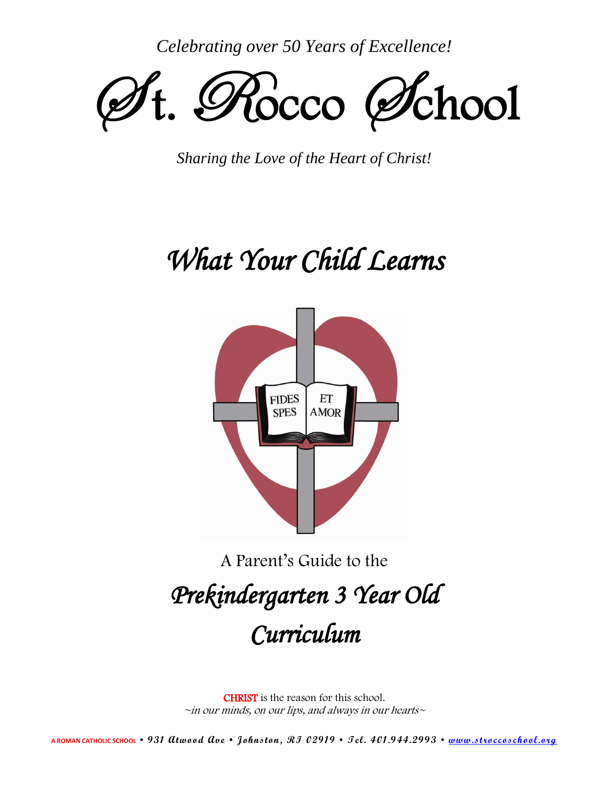*Celebrating over 50 Years of Excellence!*



*Sharing the Love of the Heart of Christ!*

# *What Your Child Learns*



A Parent's Guide to the

## *Prekindergarten 3 Year Old Curriculum*

CHRIST is the reason for this school.  $\sim$ in our minds, on our lips, and always in our hearts $\sim$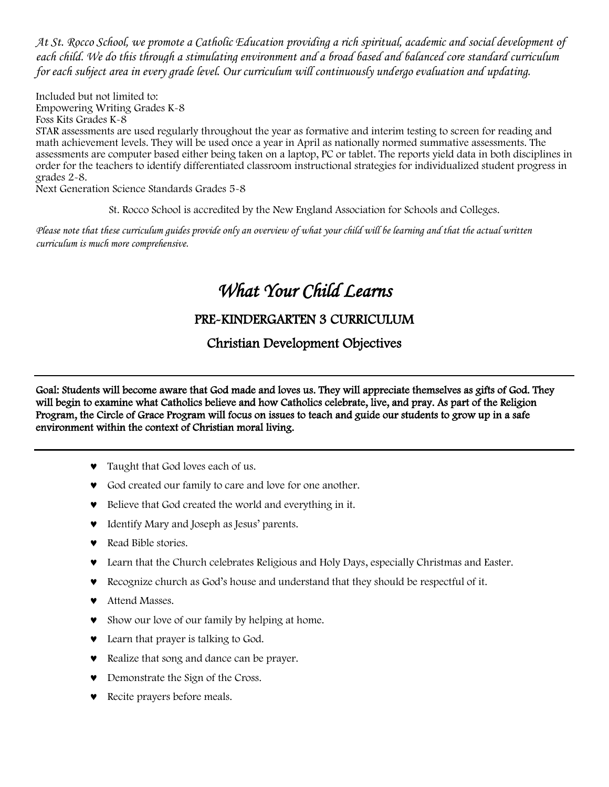*At St. Rocco School, we promote a Catholic Education providing a rich spiritual, academic and social development of each child. We do this through a stimulating environment and a broad based and balanced core standard curriculum for each subject area in every grade level. Our curriculum will continuously undergo evaluation and updating.*

Included but not limited to: Empowering Writing Grades K-8 Foss Kits Grades K-8

STAR assessments are used regularly throughout the year as formative and interim testing to screen for reading and math achievement levels. They will be used once a year in April as nationally normed summative assessments. The assessments are computer based either being taken on a laptop, PC or tablet. The reports yield data in both disciplines in order for the teachers to identify differentiated classroom instructional strategies for individualized student progress in grades 2-8.

Next Generation Science Standards Grades 5-8

St. Rocco School is accredited by the New England Association for Schools and Colleges.

*Please note that these curriculum guides provide only an overview of what your child will be learning and that the actual written curriculum is much more comprehensive.*

## *What Your Child Learns*

## PRE-KINDERGARTEN 3 CURRICULUM

Christian Development Objectives

Goal: Students will become aware that God made and loves us. They will appreciate themselves as gifts of God. They will begin to examine what Catholics believe and how Catholics celebrate, live, and pray. As part of the Religion Program, the Circle of Grace Program will focus on issues to teach and guide our students to grow up in a safe environment within the context of Christian moral living.

- Taught that God loves each of us.
- God created our family to care and love for one another.
- Believe that God created the world and everything in it.
- Identify Mary and Joseph as Jesus' parents.
- **Read Bible stories.**
- Learn that the Church celebrates Religious and Holy Days, especially Christmas and Easter.
- Recognize church as God's house and understand that they should be respectful of it.
- **v** Attend Masses.
- Show our love of our family by helping at home.
- **v** Learn that prayer is talking to God.
- Realize that song and dance can be prayer.
- **v** Demonstrate the Sign of the Cross.
- **v** Recite prayers before meals.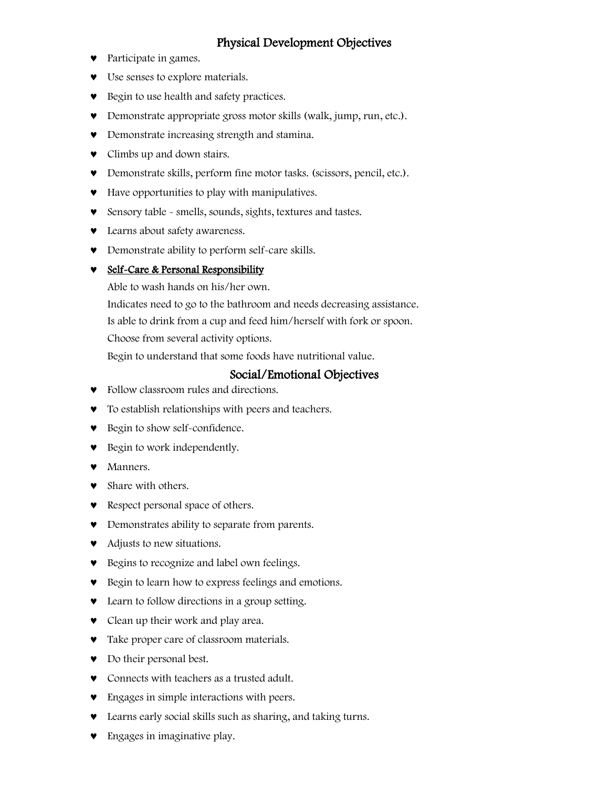## Physical Development Objectives

- Participate in games.
- Use senses to explore materials.
- Begin to use health and safety practices.
- Demonstrate appropriate gross motor skills (walk, jump, run, etc.).
- Demonstrate increasing strength and stamina.
- **v** Climbs up and down stairs.
- Demonstrate skills, perform fine motor tasks. (scissors, pencil, etc.).
- Have opportunities to play with manipulatives.
- Sensory table smells, sounds, sights, textures and tastes.
- Learns about safety awareness.
- Demonstrate ability to perform self-care skills.

#### **v** Self-Care & Personal Responsibility

Able to wash hands on his/her own.

Indicates need to go to the bathroom and needs decreasing assistance.

Is able to drink from a cup and feed him/herself with fork or spoon.

Choose from several activity options.

Begin to understand that some foods have nutritional value.

#### Social/Emotional Objectives

- Follow classroom rules and directions.
- To establish relationships with peers and teachers.
- Begin to show self-confidence.
- Begin to work independently.
- Manners.
- Share with others.
- Respect personal space of others.
- Demonstrates ability to separate from parents.
- Adjusts to new situations.
- Begins to recognize and label own feelings.
- Begin to learn how to express feelings and emotions.
- Learn to follow directions in a group setting.
- Clean up their work and play area.
- Take proper care of classroom materials.
- Do their personal best.
- Connects with teachers as a trusted adult.
- **•** Engages in simple interactions with peers.
- Learns early social skills such as sharing, and taking turns.
- **Engages in imaginative play.**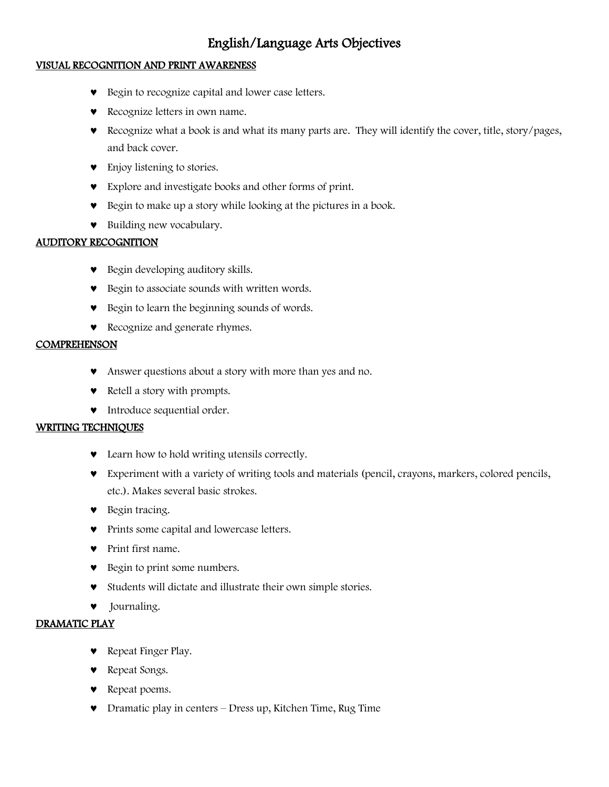## English/Language Arts Objectives

#### VISUAL RECOGNITION AND PRINT AWARENESS

- Begin to recognize capital and lower case letters.
- **v** Recognize letters in own name.
- Recognize what a book is and what its many parts are. They will identify the cover, title, story/pages, and back cover.
- Enjoy listening to stories.
- Explore and investigate books and other forms of print.
- Begin to make up a story while looking at the pictures in a book.
- Building new vocabulary.

#### AUDITORY RECOGNITION

- Begin developing auditory skills.
- Begin to associate sounds with written words.
- Begin to learn the beginning sounds of words.
- **v** Recognize and generate rhymes.

#### **COMPREHENSON**

- Answer questions about a story with more than yes and no.
- Retell a story with prompts.
- $\bullet$  Introduce sequential order.

#### WRITING TECHNIQUES

- Learn how to hold writing utensils correctly.
- Experiment with a variety of writing tools and materials (pencil, crayons, markers, colored pencils, etc.). Makes several basic strokes.
- **v** Begin tracing.
- **•** Prints some capital and lowercase letters.
- **v** Print first name.
- **•** Begin to print some numbers.
- Students will dictate and illustrate their own simple stories.
- Journaling.

#### DRAMATIC PLAY

- **v** Repeat Finger Play.
- Repeat Songs.
- **v** Repeat poems.
- Dramatic play in centers Dress up, Kitchen Time, Rug Time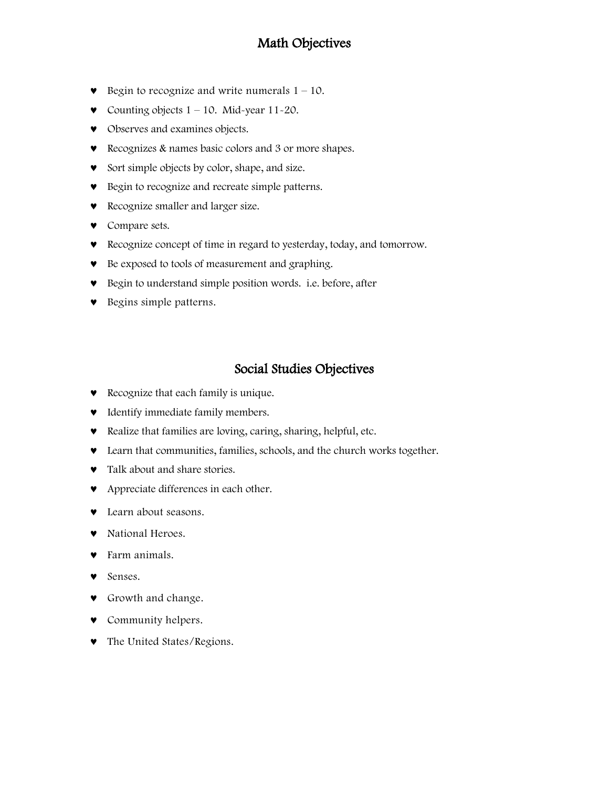## Math Objectives

- $\bullet$  Begin to recognize and write numerals  $1 10$ .
- Counting objects  $1 10$ . Mid-year  $11 20$ .
- $\bullet$  Observes and examines objects.
- Recognizes & names basic colors and 3 or more shapes.
- Sort simple objects by color, shape, and size.
- Begin to recognize and recreate simple patterns.
- Recognize smaller and larger size.
- Compare sets.
- Recognize concept of time in regard to yesterday, today, and tomorrow.
- Be exposed to tools of measurement and graphing.
- Begin to understand simple position words. i.e. before, after
- **v** Begins simple patterns.

## Social Studies Objectives

- **•** Recognize that each family is unique.
- $\bullet$  Identify immediate family members.
- Realize that families are loving, caring, sharing, helpful, etc.
- Learn that communities, families, schools, and the church works together.
- $\bullet$  Talk about and share stories.
- **v** Appreciate differences in each other.
- Learn about seasons.
- $\bullet$  National Heroes.
- Farm animals.
- **v** Senses.
- **v** Growth and change.
- **v** Community helpers.
- The United States/Regions.